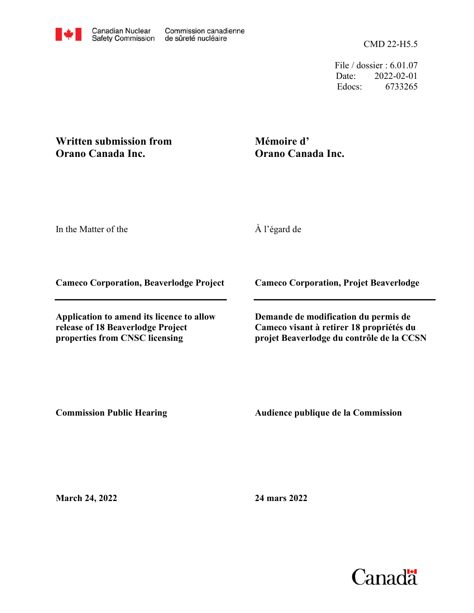CMD 22-H5.5

File / dossier : 6.01.07 Date: 2022-02-01 Edocs: 6733265

#### **Written submission from Orano Canada Inc.**

#### **Mémoire d' Orano Canada Inc.**

In the Matter of the

À l'égard de

**Cameco Corporation, Beaverlodge Project**

**Application to amend its licence to allow release of 18 Beaverlodge Project properties from CNSC licensing**

**Cameco Corporation, Projet Beaverlodge**

**Demande de modification du permis de Cameco visant à retirer 18 propriétés du projet Beaverlodge du contrôle de la CCSN**

**Commission Public Hearing**

**Audience publique de la Commission** 

**March 24, 2022**

**24 mars 2022**

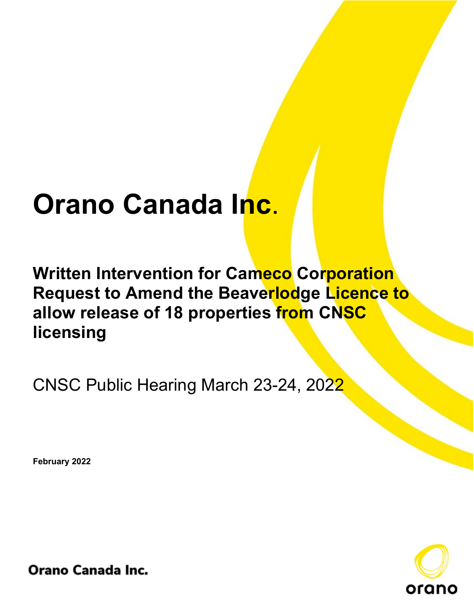# **Orano Canada Inc**.

**Written Intervention for Cameco Corporation Request to Amend the Beaverlodge Licence to allow release of 18 properties from CNSC licensing**

CNSC Public Hearing March 23-24, 2022

**February 2022**



**Orano Canada Inc.**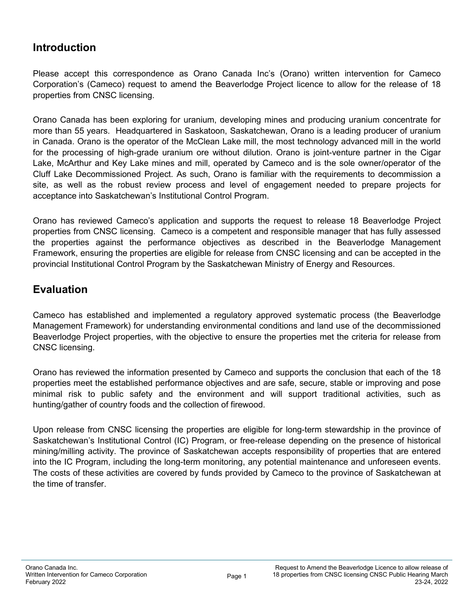## **Introduction**

Please accept this correspondence as Orano Canada Inc's (Orano) written intervention for Cameco Corporation's (Cameco) request to amend the Beaverlodge Project licence to allow for the release of 18 properties from CNSC licensing.

Orano Canada has been exploring for uranium, developing mines and producing uranium concentrate for more than 55 years. Headquartered in Saskatoon, Saskatchewan, Orano is a leading producer of uranium in Canada. Orano is the operator of the McClean Lake mill, the most technology advanced mill in the world for the processing of high-grade uranium ore without dilution. Orano is joint-venture partner in the Cigar Lake, McArthur and Key Lake mines and mill, operated by Cameco and is the sole owner/operator of the Cluff Lake Decommissioned Project. As such, Orano is familiar with the requirements to decommission a site, as well as the robust review process and level of engagement needed to prepare projects for acceptance into Saskatchewan's Institutional Control Program.

Orano has reviewed Cameco's application and supports the request to release 18 Beaverlodge Project properties from CNSC licensing. Cameco is a competent and responsible manager that has fully assessed the properties against the performance objectives as described in the Beaverlodge Management Framework, ensuring the properties are eligible for release from CNSC licensing and can be accepted in the provincial Institutional Control Program by the Saskatchewan Ministry of Energy and Resources.

#### **Evaluation**

Cameco has established and implemented a regulatory approved systematic process (the Beaverlodge Management Framework) for understanding environmental conditions and land use of the decommissioned Beaverlodge Project properties, with the objective to ensure the properties met the criteria for release from CNSC licensing.

Orano has reviewed the information presented by Cameco and supports the conclusion that each of the 18 properties meet the established performance objectives and are safe, secure, stable or improving and pose minimal risk to public safety and the environment and will support traditional activities, such as hunting/gather of country foods and the collection of firewood.

Upon release from CNSC licensing the properties are eligible for long-term stewardship in the province of Saskatchewan's Institutional Control (IC) Program, or free-release depending on the presence of historical mining/milling activity. The province of Saskatchewan accepts responsibility of properties that are entered into the IC Program, including the long-term monitoring, any potential maintenance and unforeseen events. The costs of these activities are covered by funds provided by Cameco to the province of Saskatchewan at the time of transfer.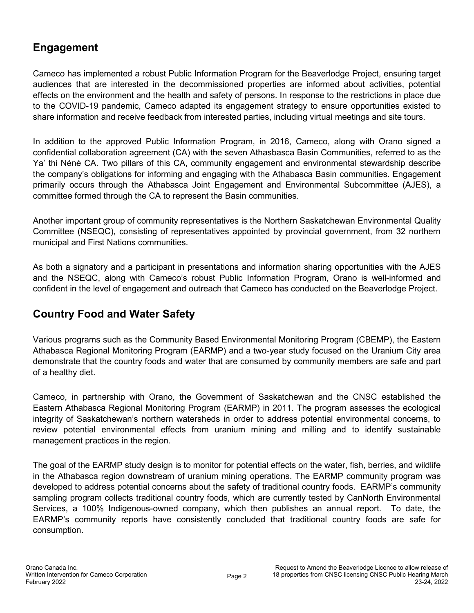# **Engagement**

Cameco has implemented a robust Public Information Program for the Beaverlodge Project, ensuring target audiences that are interested in the decommissioned properties are informed about activities, potential effects on the environment and the health and safety of persons. In response to the restrictions in place due to the COVID-19 pandemic, Cameco adapted its engagement strategy to ensure opportunities existed to share information and receive feedback from interested parties, including virtual meetings and site tours.

In addition to the approved Public Information Program, in 2016, Cameco, along with Orano signed a confidential collaboration agreement (CA) with the seven Athasbasca Basin Communities, referred to as the Ya' thi Néné CA. Two pillars of this CA, community engagement and environmental stewardship describe the company's obligations for informing and engaging with the Athabasca Basin communities. Engagement primarily occurs through the Athabasca Joint Engagement and Environmental Subcommittee (AJES), a committee formed through the CA to represent the Basin communities.

Another important group of community representatives is the Northern Saskatchewan Environmental Quality Committee (NSEQC), consisting of representatives appointed by provincial government, from 32 northern municipal and First Nations communities.

As both a signatory and a participant in presentations and information sharing opportunities with the AJES and the NSEQC, along with Cameco's robust Public Information Program, Orano is well-informed and confident in the level of engagement and outreach that Cameco has conducted on the Beaverlodge Project.

# **Country Food and Water Safety**

Various programs such as the Community Based Environmental Monitoring Program (CBEMP), the Eastern Athabasca Regional Monitoring Program (EARMP) and a two-year study focused on the Uranium City area demonstrate that the country foods and water that are consumed by community members are safe and part of a healthy diet.

Cameco, in partnership with Orano, the Government of Saskatchewan and the CNSC established the Eastern Athabasca Regional Monitoring Program (EARMP) in 2011. The program assesses the ecological integrity of Saskatchewan's northern watersheds in order to address potential environmental concerns, to review potential environmental effects from uranium mining and milling and to identify sustainable management practices in the region.

The goal of the EARMP study design is to monitor for potential effects on the water, fish, berries, and wildlife in the Athabasca region downstream of uranium mining operations. The EARMP community program was developed to address potential concerns about the safety of traditional country foods. EARMP's community sampling program collects traditional country foods, which are currently tested by CanNorth Environmental Services, a 100% Indigenous-owned company, which then publishes an annual report. To date, the EARMP's community reports have consistently concluded that traditional country foods are safe for consumption.